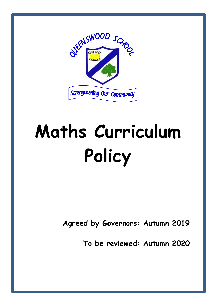

# **Maths Curriculum Policy**

**Agreed by Governors: Autumn 2019**

**To be reviewed: Autumn 2020**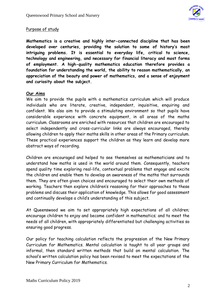

## Purpose of study

**Mathematics is a creative and highly inter-connected discipline that has been developed over centuries, providing the solution to some of history's most intriguing problems. It is essential to everyday life, critical to science, technology and engineering, and necessary for financial literacy and most forms of employment. A high-quality mathematics education therefore provides a foundation for understanding the world, the ability to reason mathematically, an appreciation of the beauty and power of mathematics, and a sense of enjoyment and curiosity about the subject.**

## **Our Aims**

We aim to provide the pupils with a mathematics curriculum which will produce individuals who are literate, creative, independent, inquisitive, enquiring and confident. We also aim to provide a stimulating environment so that pupils have considerable experience with concrete equipment, in all areas of the maths curriculum. Classrooms are enriched with resources that children are encouraged to select independently and cross-curricular links are always encouraged, thereby allowing children to apply their maths skills in other areas of the Primary curriculum. These practical experiences support the children as they learn and develop more abstract ways of recording.

Children are encouraged and helped to see themselves as mathematicians and to understand how maths is used in the world around them. Consequently, teachers spend quality time exploring real-life, contextual problems that engage and excite the children and enable them to develop an awareness of the maths that surrounds them. They are often given choices and encouraged to select their own methods of working. Teachers then explore children's reasoning for their approaches to these problems and discuss their application of knowledge. This allows for good assessment and continually develops a child's understanding of this subject.

At Queenswood we aim to set appropriately high expectations of all children; encourage children to enjoy and become confident in mathematics; and to meet the needs of all children, with appropriately differentiated but challenging activities so ensuring good progress.

Our policy for teaching calculation reflects the progression of the New Primary Curriculum for Mathematics. Mental calculation is taught to all year groups and informal, then standard written methods that build on mental calculation. The school's written calculation policy has been revised to meet the expectations of the New Primary Curriculum for Mathematics.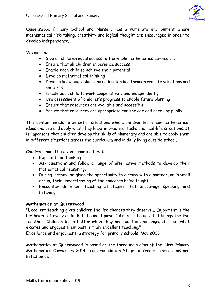

Queenswood Primary School and Nursery has a numerate environment where mathematical risk-taking, creativity and logical thought are encouraged in order to develop independence.

We aim to:

- Give all children equal access to the whole mathematics curriculum
- Ensure that all children experience success
- Enable each child to achieve their potential
- Develop mathematical thinking
- Develop knowledge, skills and understanding through real life situations and contexts
- Enable each child to work cooperatively and independently
- Use assessment of children's progress to enable future planning
- Ensure that resources are available and accessible
- Ensure that resources are appropriate for the age and needs of pupils.

This content needs to be set in situations where children learn new mathematical ideas and use and apply what they know in practical tasks and real-life situations. It is important that children develop the skills of Numeracy and are able to apply them in different situations across the curriculum and in daily living outside school.

Children should be given opportunities to:

- Explain their thinking
- Ask questions and follow a range of alternative methods to develop their mathematical reasoning.
- During lessons, be given the opportunity to discuss with a partner, or in small group, their understanding of the concepts being taught.
- Encounter different teaching strategies that encourage speaking and listening.

## **Mathematics at Queenswood**

"Excellent teaching gives children the life chances they deserve... Enjoyment is the birthright of every child. But the most powerful mix is the one that brings the two together. Children learn better when they are excited and engaged - but what excites and engages them best is truly excellent teaching."

Excellence and enjoyment: a strategy for primary schools, May 2003

Mathematics at Queenswood is based on the three main aims of the 'New Primary Mathematics Curriculum 2014' from Foundation Stage to Year 6. These aims are listed below: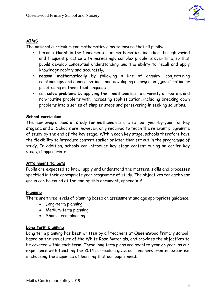

# **AIMS**

The national curriculum for mathematics aims to ensure that all pupils:

- become **fluent** in the fundamentals of mathematics, including through varied and frequent practice with increasingly complex problems over time, so that pupils develop conceptual understanding and the ability to recall and apply knowledge rapidly and accurately.
- **reason mathematically** by following a line of enquiry, conjecturing relationships and generalisations, and developing an argument, justification or proof using mathematical language
- can **solve problems** by applying their mathematics to a variety of routine and non-routine problems with increasing sophistication, including breaking down problems into a series of simpler steps and persevering in seeking solutions.

## **School curriculum**

The new programmes of study for mathematics are set out year-by-year for key stages 1 and 2. Schools are, however, only required to teach the relevant programme of study by the end of the key stage. Within each key stage, schools therefore have the flexibility to introduce content earlier or later than set out in the programme of study. In addition, schools can introduce key stage content during an earlier key stage, if appropriate.

## **Attainment targets**

Pupils are expected to know, apply and understand the matters, skills and processes specified in their appropriate year programme of study. The objectives for each year group can be found at the end of this document, appendix A.

# **Planning**

There are three levels of planning based on assessment and age appropriate guidance.

- Long-term planning
- Medium-term planning
- Short-term planning

## **Long term planning**

Long term planning has been written by all teachers at Queenswood Primary school, based on the structure of the White Rose Materials, and provides the objectives to be covered within each term. These long term plans are adapted year on year, as our experience with teaching the 2014 curriculum gives our teachers greater expertise in choosing the sequence of learning that our pupils need.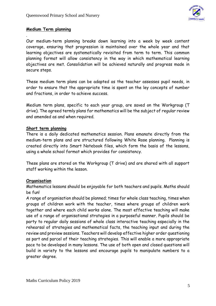

#### **Medium Term planning**

.

Our medium-term planning breaks down learning into a week by week content coverage, ensuring that progression is maintained over the whole year and that learning objectives are systematically revisited from term to term. This common planning format will allow consistency in the way in which mathematical learning objectives are met. Consolidation will be achieved naturally and progress made in secure steps.

These medium term plans can be adapted as the teacher assesses pupil needs, in order to ensure that the appropriate time is spent on the ley concepts of number and fractions, in order to achieve success.

Medium term plans, specific to each year group, are saved on the Workgroup (T drive). The agreed termly plans for mathematics will be the subject of regular review and amended as and when required.

#### **Short term planning**

There is a daily dedicated mathematics session. Plans emanate directly from the medium-term plans and are structured following White Rose planning. Planning is created directly into Smart Notebook files, which form the basis of the lessons, using a whole school format which provides for consistency.

These plans are stored on the Workgroup (T drive) and are shared with all support staff working within the lesson.

## **Organisation**

Mathematics lessons should be enjoyable for both teachers and pupils. Maths should be fun!

A range of organisation should be planned; times for whole class teaching, times when groups of children work with the teacher, times where groups of children work together and where each child works alone. The most effective teaching will make use of a range of organisational strategies in a purposeful manner. Pupils should be party to regular daily sessions of whole class interactive teaching especially in the rehearsal of strategies and mathematical facts, the teaching input and during the review and preview sessions. Teachers will develop effective higher order questioning as part and parcel of their teaching strategies. This will enable a more appropriate pace to be developed in many lessons. The use of both open and closed questions will build in variety to the lessons and encourage pupils to manipulate numbers to a greater degree.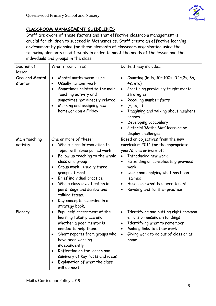# **CLASSROOM MANAGEMENT GUIDELINES**

Staff are aware of these factors and that effective classroom management is crucial for children to succeed in Mathematics. Staff create an effective learning environment by planning for these elements of classroom organisation using the following elements used flexibly in order to meet the needs of the lesson and the individuals and groups in the class.

| Section of<br>lesson       | What it comprises                                                                                                                                                                                                                                                                                                                                                                                                                        | Content may include                                                                                                                                                                                                                                                                                                              |
|----------------------------|------------------------------------------------------------------------------------------------------------------------------------------------------------------------------------------------------------------------------------------------------------------------------------------------------------------------------------------------------------------------------------------------------------------------------------------|----------------------------------------------------------------------------------------------------------------------------------------------------------------------------------------------------------------------------------------------------------------------------------------------------------------------------------|
| Oral and Mental<br>starter | Mental maths warm - ups<br>$\bullet$<br>Usually number work<br>$\bullet$<br>Sometimes related to the main<br>$\bullet$<br>teaching activity and<br>sometimes not directly related<br>Marking and assigning new<br>$\bullet$<br>homework on a Friday                                                                                                                                                                                      | Counting (in 1s, 10s, 100s, 0.1s, 2s, 3s,<br>4s, etc)<br>Practising previously taught mental<br>$\bullet$<br>strategies<br>Recalling number facts<br>$(+,-,x,-)$<br>$\bullet$<br>Imagining and talking about numbers,<br>shapes<br>Developing vocabulary<br>$\bullet$<br>Pictorial 'Maths Mat' learning or<br>display challenges |
| Main teaching<br>activity  | One or more of these:<br>Whole-class introduction to<br>$\bullet$<br>topic, with some paired work<br>Follow up teaching to the whole<br>$\bullet$<br>class or a group<br>Group work - usually three<br>$\bullet$<br>groups at most<br>Brief individual practice<br>$\bullet$<br>Whole class investigation in<br>$\bullet$<br>pairs, 'sage and scribe' and<br>talking teams.<br>Key concepts recorded in a<br>$\bullet$<br>strategy book. | Based on objectives from the new<br>curriculum 2014 for the appropriate<br>year/s, one or more of:<br>Introducing new work<br>Extending or consolidating previous<br>work<br>Using and applying what has been<br>learned<br>Assessing what has been taught<br>Revising and further practice<br>٠                                 |
| Plenary                    | Pupil self-assessment of the<br>$\bullet$<br>learning taken place and<br>whether a peer mentor is<br>needed to help them.<br>Short reports from groups who<br>$\bullet$<br>have been working<br>independently<br>Reflection on the lesson and<br>$\bullet$<br>summary of key facts and ideas<br>Explanation of what the class<br>$\bullet$<br>will do next                                                                               | Identifying and putting right common<br>$\bullet$<br>errors or misunderstandings<br>Identifying what to remember<br>Making links to other work<br>Giving work to do out of class or at<br>home                                                                                                                                   |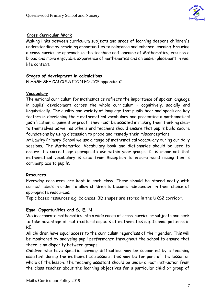

## **Cross Curricular Work**

Making links between curriculum subjects and areas of learning deepens children's understanding by providing opportunities to reinforce and enhance learning. Ensuring a cross curricular approach in the teaching and learning of Mathematics, ensures a broad and more enjoyable experience of mathematics and an easier placement in real life context.

## **Stages of development in calculations**

PLEASE SEE CALCULATION POLICY appendix C.

#### **Vocabulary**

The national curriculum for mathematics reflects the importance of spoken language in pupils' development across the whole curriculum – cognitively, socially and linguistically. The quality and variety of language that pupils hear and speak are key factors in developing their mathematical vocabulary and presenting a mathematical justification, argument or proof. They must be assisted in making their thinking clear to themselves as well as others and teachers should ensure that pupils build secure foundations by using discussion to probe and remedy their misconceptions.

At Lawley Primary School we use a range of mathematical vocabulary during our daily sessions. The Mathematical Vocabulary book and dictionaries should be used to ensure the correct age appropriate use within year groups. It is important that mathematical vocabulary is used from Reception to ensure word recognition is commonplace to pupils.

## **Resources**

Everyday resources are kept in each class. These should be stored neatly with correct labels in order to allow children to become independent in their choice of appropriate resources.

Topic based resources e.g. balances, 3D shapes are stored in the UKS2 corridor.

## **Equal Opportunities and S. E. N**

We incorporate mathematics into a wide range of cross-curricular subjects and seek to take advantage of multi-cultural aspects of mathematics e.g. Islamic patterns in RE.

All children have equal access to the curriculum regardless of their gender. This will be monitored by analysing pupil performance throughout the school to ensure that there is no disparity between groups.

Children who have specific learning difficulties may be supported by a teaching assistant during the mathematics sessions, this may be for part of the lesson or whole of the lesson. The teaching assistant should be under direct instruction from the class teacher about the learning objectives for a particular child or group of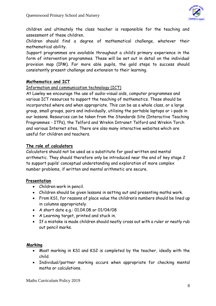

children and ultimately the class teacher is responsible for the teaching and assessment of these children.

Children should find a degree of mathematical challenge, whatever their mathematical ability.

Support programmes are available throughout a child's primary experience in the form of intervention programmes. These will be set out in detail on the individual provision map (IPM). For more able pupils, the gold steps to success should consistently present challenge and extension to their learning.

## **Mathematics and ICT**

## Information and communication technology (ICT)

At Lawley we encourage the use of audio-visual aids, computer programmes and various ICT resources to support the teaching of mathematics. These should be incorporated where and when appropriate. This can be as a whole class, or a large group, small groups, pairs and individually, utilising the portable laptops or i-pads in our lessons. Resources can be taken from the Standards Site (Interactive Teaching Programmes - ITPs), the Telford and Wrekin Intranet Telford and Wrekin Torch and various Internet sites. There are also many interactive websites which are useful for children and teachers.

## **The role of calculators**

Calculators should not be used as a substitute for good written and mental arithmetic. They should therefore only be introduced near the end of key stage 2 to support pupils' conceptual understanding and exploration of more complex number problems, if written and mental arithmetic are secure.

## **Presentation**

- Children work in pencil.
- Children should be given lessons in setting out and presenting maths work.
- From KS1, for reasons of place value the children's numbers should be lined up in columns appropriately.
- A short date e.g.: 01.04.08 or 01/04/08
- A Learning target, printed and stuck in.
- If a mistake is made children should neatly cross out with a ruler or neatly rub out pencil marks.

## **Marking**

- Most marking in KS1 and KS2 is completed by the teacher, ideally with the child.
- Individual/partner marking occurs when appropriate for checking mental maths or calculations.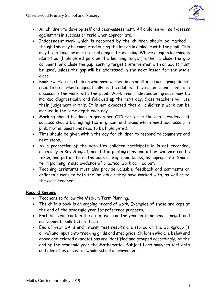

- All children to develop self and peer-assessment. All children will self-assess against their success criteria when appropriate.
- Independent work which is recorded by the children should be marked though this may be completed during the lesson in dialogue with the pupil. This may be jottings or more formal diagnostic marking. Where a gap in learning is identified (highlighted pink on the learning target) either a close the gap comment, or a close the gap learning target ( intervention with an adult) must be used, unless the gap will be addressed in the next lesson for the whole class.
- Books/work from children who have worked in an adult in a focus group do not need to be marked diagnostically as the adult will have spent significant time discussing the work with the pupil. Work from independent groups may be marked diagnostically and followed up the next day. Class teachers will use their judgement in this. It is not expected that all children's work can be marked in the same depth each day.
- Marking should be done in green pen CTG for 'close the gap'. Evidence of success should be highlighted in green, and areas which need addressing in pink. Not all questions need to be highlighted.
- Time should be given within the day for children to respond to comments and next steps.
- As a proportion of the activities children participate in is not recorded, especially in Key Stage 1, annotated photographs and other evidence can be taken, and put in the maths book or Big Topic books, as appropriate. Shortterm planning is also evidence of practical work carried out.
- Teaching assistants must also provide valuable feedback and comments on children's work to both the individuals they have worked with, as well as to the class teacher.

# **Record keeping**

- Teachers to follow the Medium Term Planning.
- The child's book is an ongoing record of work. Examples of these are kept at the end of the academic year for reference purposes.
- Each book will contain the objectives for the year on their pencil target, and assessments collated on these..
- End of year SATs and interim test results are stored on the workgroup (T drive) and input onto tracking grids and step grids. Children who are below and above age-related expectations are identified and grouped accordingly. At the end of the academic year the Mathematics Subject Lead analyses test data and identifies areas for whole school improvement.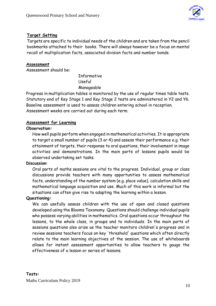

## **Target Setting**

Targets are specific to individual needs of the children and are taken from the pencil bookmarks attached to their books. There will always however be a focus on mental recall of multiplication facts, associated division facts and number bonds.

## **Assessment**

Assessment should be:

Informative Useful Manageable

Progress in multiplication tables is monitored by the use of regular times table tests. Statutory end of Key Stage 1 and Key Stage 2 tests are administered in Y2 and Y6. Baseline assessment is used to assess children entering school in reception. Assessment weeks are carried out during each term.

## **Assessment for Learning**

## **Observation:**

How well pupils perform when engaged in mathematical activities. It is appropriate to target a small number of pupils (3 or 4) and assess their performance e.g. their attainment of targets, their response to oral questions, their involvement in image activities and demonstrations. In the main parts of lessons pupils would be observed undertaking set tasks.

#### **Discussion**:

Oral parts of maths sessions are vital to the progress. Individual, group or class discussions provide teachers with many opportunities to assess mathematical facts, understanding of the number system (e.g. place value), calculation skills and mathematical language acquisition and use. Much of this work is informal but the situations can often give rise to adapting the learning within a lesson.

#### **Questioning:**

We can usefully assess children with the use of open and closed questions developed using the Blooms Taxonomy. Questions should challenge individual pupils who possess varying abilities in mathematics. Oral questions occur throughout the lessons, to the whole class, in groups and to individuals. In the main parts of sessions questions also arise as the teacher monitors children's progress and in review sessions teachers focus on key 'threshold' questions which often directly relate to the main learning objectives of the session. The use of whitebaords allows for instant assessment opportunities to allow teachers to gauge the effectiveness of a lesson or series of lessons.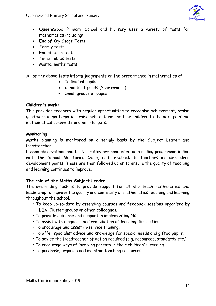Queenswood Primary School and Nursery



- Queenswood Primary School and Nursery uses a variety of tests for mathematics including:
- End of Key Stage Tests
- Termly tests
- End of topic tests
- Times tables tests
- Mental maths tests

All of the above tests inform judgements on the performance in mathematics of:

- Individual pupils
- Cohorts of pupils (Year Groups)
- Small groups of pupils

## **Children's work:**

This provides teachers with regular opportunities to recognise achievement, praise good work in mathematics, raise self-esteem and take children to the next point via mathematical comments and mini-targets.

## **Monitoring**

Maths planning is monitored on a termly basis by the Subject Leader and Headteacher.

Lesson observations and book scrutiny are conducted on a rolling programme in line with the School Monitoring Cycle, and feedback to teachers includes clear development points. These are then followed up on to ensure the quality of teaching and learning continues to improve.

## **The role of the Maths Subject Leader**

The over-riding task is to provide support for all who teach mathematics and leadership to improve the quality and continuity of mathematics teaching and learning throughout the school.

- To keep up-to-date by attending courses and feedback sessions organised by LEA, Cluster groups or other colleagues.
- To provide guidance and support in implementing NC.
- To assist with diagnosis and remediation of learning difficulties.
- To encourage and assist in-service training.
- To offer specialist advice and knowledge for special needs and gifted pupils.
- To advise the Headteacher of action required (e.g. resources, standards etc.).
- To encourage ways of involving parents in their children's learning.
- To purchase, organise and maintain teaching resources.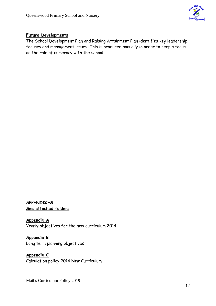

# **Future Developments**

The School Development Plan and Raising Attainment Plan identifies key leadership focuses and management issues. This is produced annually in order to keep a focus on the role of numeracy with the school.

## **APPENDICES See attached folders**

**Appendix A** Yearly objectives for the new curriculum 2014

**Appendix B** Long term planning objectives

**Appendix C** Calculation policy 2014 New Curriculum

Maths Curriculum Policy 2019